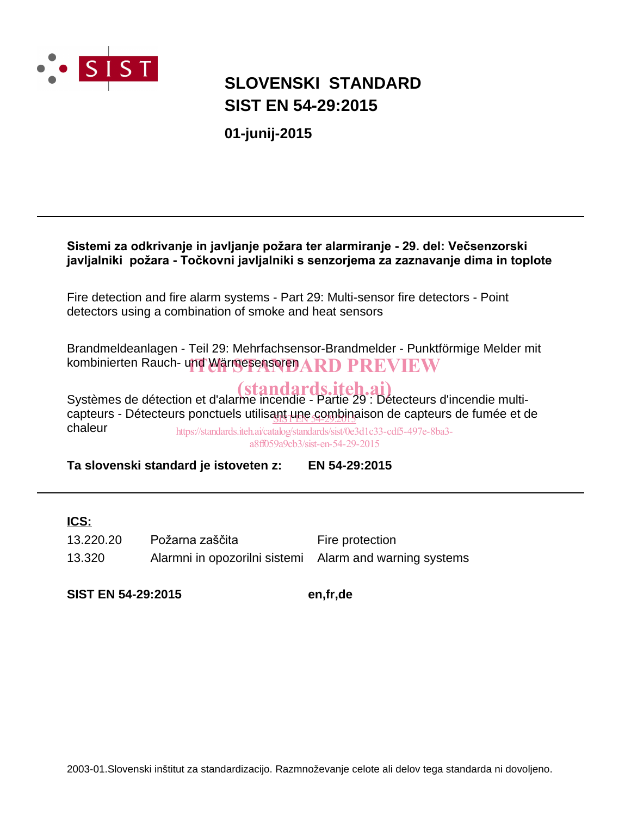

# **SIST EN 54-29:2015 SLOVENSKI STANDARD**

**01-junij-2015**

# Sistemi za odkrivanje in javljanje požara ter alarmiranje - 29. del: Večsenzorski javljalniki požara - Točkovni javljalniki s senzorjema za zaznavanje dima in toplote

Fire detection and fire alarm systems - Part 29: Multi-sensor fire detectors - Point detectors using a combination of smoke and heat sensors

Brandmeldeanlagen - Teil 29: Mehrfachsensor-Brandmelder - Punktförmige Melder mit kombinierten Rauch- und Wärmesensoren $\bf ARPPREW$ 

Systèmes de détection et d'alarme incendie - Partie 29 : Détecteurs d'incendie multicapteurs - Détecteurs ponctuels utilisa<u>nt une combin</u>aison de capteurs de fumée et de chaleur https://standards.iteh.ai/catalog/standards/sist/0e3d1c33-cdf5-497e-8ba3-

a8ff059a9cb3/sist-en-54-29-2015

**Ta slovenski standard je istoveten z: EN 54-29:2015**

# **ICS:**

13.320 Alarmni in opozorilni sistemi Alarm and warning systems 13.220.20 Požarna zaščita<br>
Fire protection

**SIST EN 54-29:2015 en,fr,de**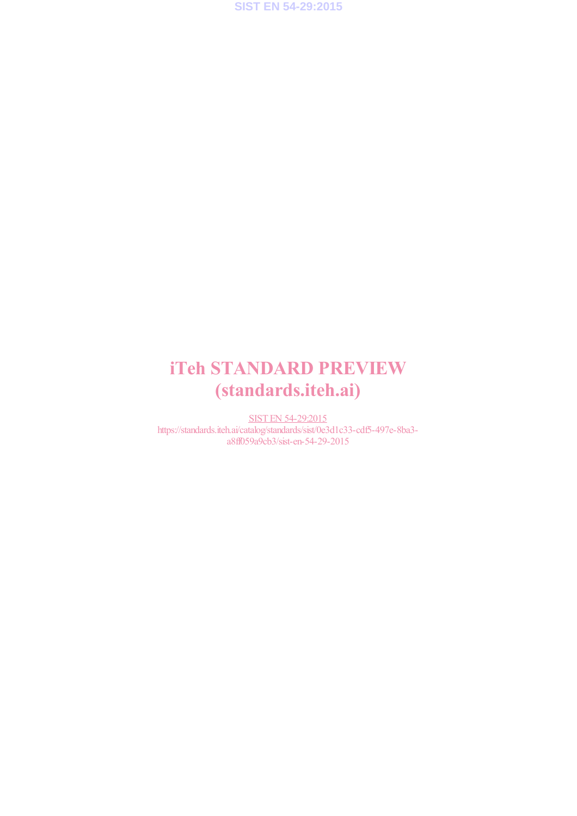

# iTeh STANDARD PREVIEW (standards.iteh.ai)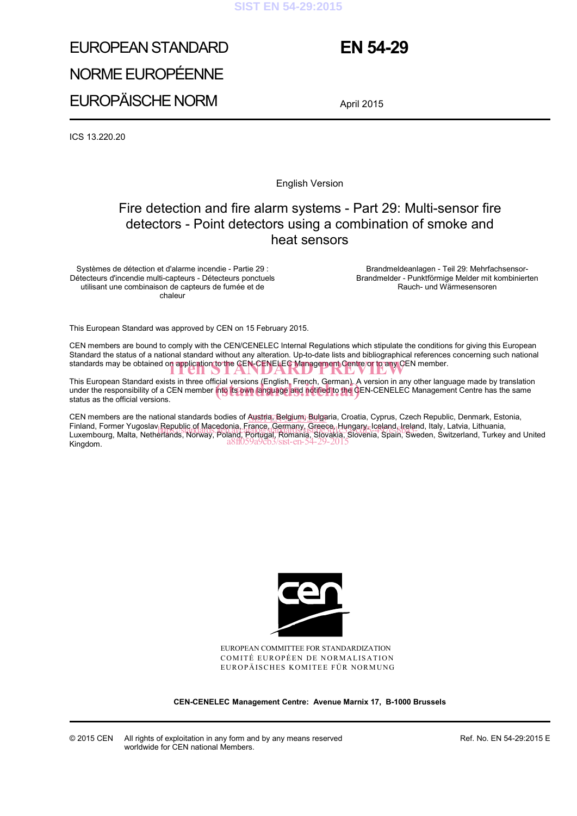### **SIST EN 54-29:2015**

# EUROPEAN STANDARD NORME EUROPÉENNE EUROPÄISCHE NORM

# **EN 54-29**

April 2015

ICS 13.220.20

English Version

# Fire detection and fire alarm systems - Part 29: Multi-sensor fire detectors - Point detectors using a combination of smoke and heat sensors

Systèmes de détection et d'alarme incendie - Partie 29 : Détecteurs d'incendie multi-capteurs - Détecteurs ponctuels utilisant une combinaison de capteurs de fumée et de chaleur

 Brandmeldeanlagen - Teil 29: Mehrfachsensor-Brandmelder - Punktförmige Melder mit kombinierten Rauch- und Wärmesensoren

This European Standard was approved by CEN on 15 February 2015.

CEN members are bound to comply with the CEN/CENELEC Internal Regulations which stipulate the conditions for giving this European Standard the status of a national standard without any alteration. Up-to-date lists and bibliographical references concerning such national standards may be obtained on application to the CEN-CENELEC Management Centre or to any CEN member.

This European Standard exists in three official versions (English, French, German). A version in any other language made by translation This European Standard exists in three official versions (English, French, German). A version in any other language made by translation<br>under the responsibility of a CEN member into its own language and notified to the CEN status as the official versions.

CEN members are the national standards bodies of Austria, Belgium, Bulgaria, Croatia, Cyprus, Czech Republic, Denmark, Estonia, Finland, Former Yugoslav Republic of Macedonia, France, Germany, Greece, Hungary, Iceland, Ireland, Italy, Latvia, Lithuania,<br>Luxembourg, Malta, Netherlands, Norway, Baland, Bornard, Bornards, Kközkka, Sistema Swedene, Swi Luxembourg, Malta, Netherlands, Norway, Poland, Portugal, Romania, Slovakia, Slovenia, Spain, Sweden, Switzerland, Turkey and United<br>Kingdom. Kingdom.



EUROPEAN COMMITTEE FOR STANDARDIZATION COMITÉ EUROPÉEN DE NORMALISATION EUROPÄISCHES KOMITEE FÜR NORMUNG

**CEN-CENELEC Management Centre: Avenue Marnix 17, B-1000 Brussels** 

Ref. No. EN 54-29:2015 E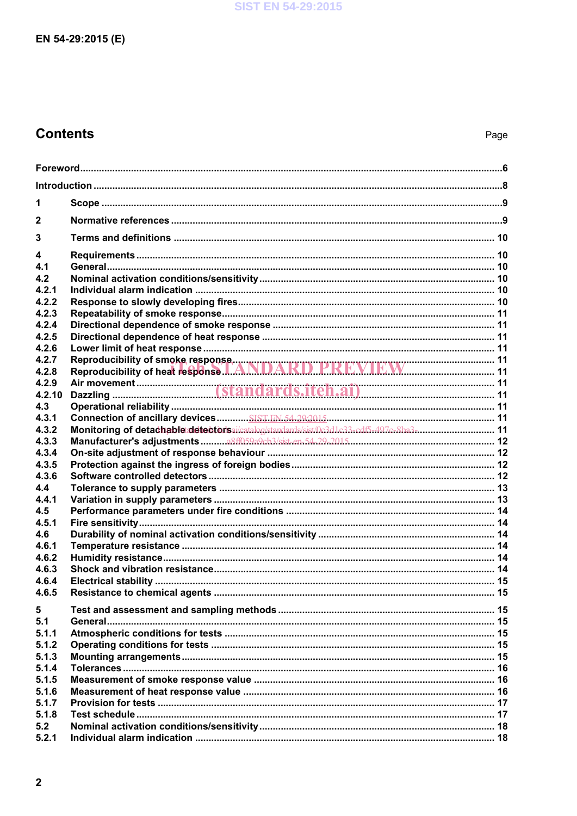# **Contents**

| 1              |                                                                                         |  |
|----------------|-----------------------------------------------------------------------------------------|--|
| $\mathbf{2}$   |                                                                                         |  |
| 3              |                                                                                         |  |
| 4              |                                                                                         |  |
| 4.1            |                                                                                         |  |
| 4.2<br>4.2.1   |                                                                                         |  |
| 4.2.2          |                                                                                         |  |
| 4.2.3          |                                                                                         |  |
| 4.2.4          |                                                                                         |  |
| 4.2.5          |                                                                                         |  |
| 4.2.6          |                                                                                         |  |
| 4.2.7          |                                                                                         |  |
| 4.2.8          |                                                                                         |  |
| 4.2.9          |                                                                                         |  |
| 4.2.10         |                                                                                         |  |
| 4.3            |                                                                                         |  |
| 4.3.1<br>4.3.2 | Monitoring of detachable detectorsai/catalog/standards/sist/0e3d1c33-cdf5-497e-8ba3- 11 |  |
| 4.3.3          |                                                                                         |  |
| 4.3.4          |                                                                                         |  |
| 4.3.5          |                                                                                         |  |
| 4.3.6          |                                                                                         |  |
| 4.4            |                                                                                         |  |
| 4.4.1          |                                                                                         |  |
| 4.5            |                                                                                         |  |
| 4.5.1          |                                                                                         |  |
| 4.6            |                                                                                         |  |
| 4.6.1          |                                                                                         |  |
| 4.6.2          |                                                                                         |  |
| 4.6.3          |                                                                                         |  |
| 4.6.4          |                                                                                         |  |
| 4.6.5          |                                                                                         |  |
| 5              |                                                                                         |  |
| 5.1            |                                                                                         |  |
| 5.1.1          |                                                                                         |  |
| 5.1.2          |                                                                                         |  |
| 5.1.3          |                                                                                         |  |
| 5.1.4          |                                                                                         |  |
| 5.1.5          |                                                                                         |  |
| 5.1.6          |                                                                                         |  |
| 5.1.7          |                                                                                         |  |
| 5.1.8<br>5.2   |                                                                                         |  |
| 5.2.1          |                                                                                         |  |
|                |                                                                                         |  |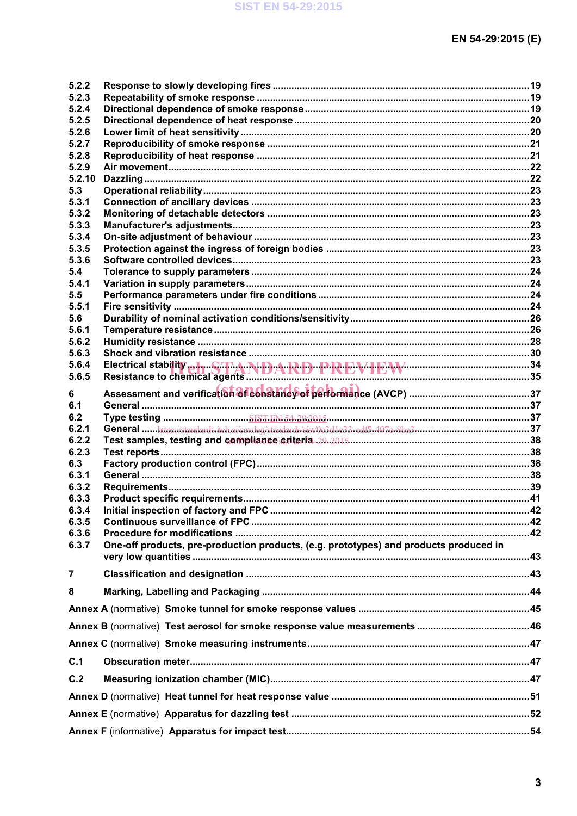| 5.2.2          |                                                                                       |  |
|----------------|---------------------------------------------------------------------------------------|--|
| 5.2.3          |                                                                                       |  |
| 5.2.4          |                                                                                       |  |
| 5.2.5          |                                                                                       |  |
| 5.2.6          |                                                                                       |  |
| 5.2.7          |                                                                                       |  |
| 5.2.8          |                                                                                       |  |
| 5.2.9          |                                                                                       |  |
| 5.2.10         |                                                                                       |  |
| 5.3            |                                                                                       |  |
| 5.3.1          |                                                                                       |  |
| 5.3.2          |                                                                                       |  |
| 5.3.3          |                                                                                       |  |
| 5.3.4          |                                                                                       |  |
| 5.3.5          |                                                                                       |  |
| 5.3.6          |                                                                                       |  |
| 5.4            |                                                                                       |  |
| 5.4.1          |                                                                                       |  |
| 5.5            |                                                                                       |  |
| 5.5.1          |                                                                                       |  |
| 5.6            |                                                                                       |  |
| 5.6.1          |                                                                                       |  |
| 5.6.2          |                                                                                       |  |
| 5.6.3          |                                                                                       |  |
| 5.6.4          |                                                                                       |  |
| 5.6.5          | Electrical stability a h ST A NDARD PREVIEW EW MOREMOND 34                            |  |
|                |                                                                                       |  |
| 6              |                                                                                       |  |
| 6.1            |                                                                                       |  |
| 6.2            |                                                                                       |  |
| 6.2.1          |                                                                                       |  |
| 6.2.2          |                                                                                       |  |
| 6.2.3          |                                                                                       |  |
| 6.3            |                                                                                       |  |
| 6.3.1          |                                                                                       |  |
| 6.3.2          |                                                                                       |  |
| 6.3.3          |                                                                                       |  |
| 6.3.4          |                                                                                       |  |
| 6.3.5          |                                                                                       |  |
| 6.3.6          |                                                                                       |  |
| 6.3.7          | One-off products, pre-production products, (e.g. prototypes) and products produced in |  |
|                |                                                                                       |  |
| $\overline{7}$ |                                                                                       |  |
| 8              |                                                                                       |  |
|                |                                                                                       |  |
|                |                                                                                       |  |
|                |                                                                                       |  |
| C.1            |                                                                                       |  |
|                |                                                                                       |  |
| C.2            |                                                                                       |  |
|                |                                                                                       |  |
|                |                                                                                       |  |
|                |                                                                                       |  |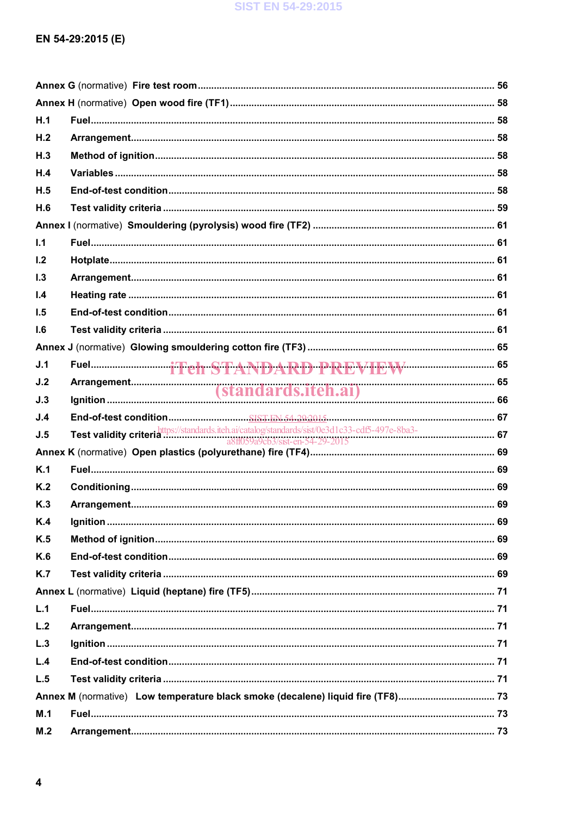# EN 54-29:2015 (E)

| H.1            |                                                                                                                                     |  |
|----------------|-------------------------------------------------------------------------------------------------------------------------------------|--|
| H.2            |                                                                                                                                     |  |
| H.3            |                                                                                                                                     |  |
| H.4            |                                                                                                                                     |  |
| H.5            |                                                                                                                                     |  |
| H.6            |                                                                                                                                     |  |
|                |                                                                                                                                     |  |
| 1.1            |                                                                                                                                     |  |
| 1.2            |                                                                                                                                     |  |
| 1.3            |                                                                                                                                     |  |
| 1.4            |                                                                                                                                     |  |
| 1.5            |                                                                                                                                     |  |
| 1.6            |                                                                                                                                     |  |
|                |                                                                                                                                     |  |
| J.1            |                                                                                                                                     |  |
| J.2            |                                                                                                                                     |  |
| J.3            |                                                                                                                                     |  |
| J.4            |                                                                                                                                     |  |
| J.5            | Test validity criteria https://standards.iteh.ai/catalog/standards/sist/0e3d1c33-cdf5-497e-8ba3-<br>a8ff059a9cb3/sist-en-54-29-2015 |  |
|                |                                                                                                                                     |  |
| K.1            |                                                                                                                                     |  |
| K <sub>2</sub> |                                                                                                                                     |  |
| K.3            |                                                                                                                                     |  |
| K.4            |                                                                                                                                     |  |
| K.5            |                                                                                                                                     |  |
| K.6            |                                                                                                                                     |  |
| K.7            |                                                                                                                                     |  |
|                |                                                                                                                                     |  |
| L.1            |                                                                                                                                     |  |
| L.2            |                                                                                                                                     |  |
| L.3            |                                                                                                                                     |  |
| L.4            |                                                                                                                                     |  |
| L.5            |                                                                                                                                     |  |
|                | Annex M (normative) Low temperature black smoke (decalene) liquid fire (TF8) 73                                                     |  |
| M.1            |                                                                                                                                     |  |
| M.2            |                                                                                                                                     |  |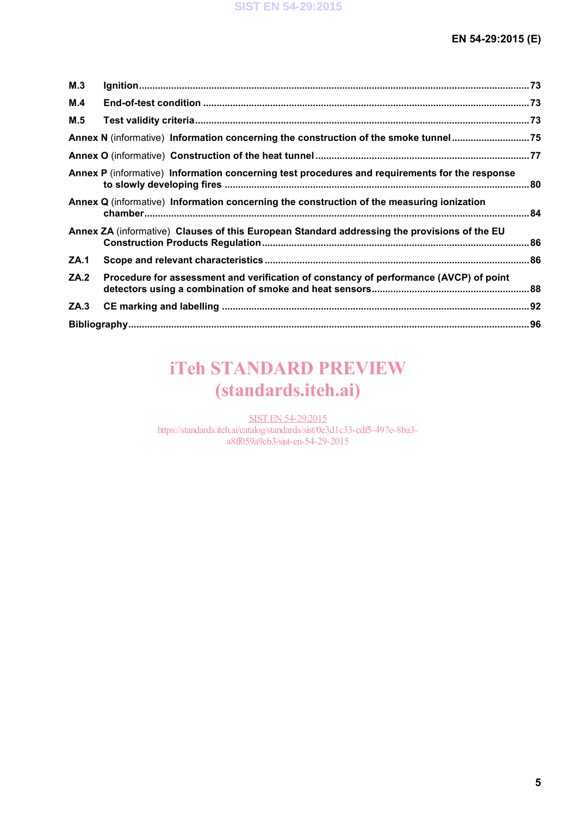| M.3         |                                                                                                |  |
|-------------|------------------------------------------------------------------------------------------------|--|
| M.4         |                                                                                                |  |
| M.5         |                                                                                                |  |
|             | Annex N (informative) Information concerning the construction of the smoke tunnel75            |  |
|             |                                                                                                |  |
|             | Annex P (informative) Information concerning test procedures and requirements for the response |  |
|             | Annex Q (informative) Information concerning the construction of the measuring ionization      |  |
|             | Annex ZA (informative) Clauses of this European Standard addressing the provisions of the EU   |  |
| <b>ZA.1</b> |                                                                                                |  |
| ZA.2        | Procedure for assessment and verification of constancy of performance (AVCP) of point          |  |
| ZA.3        |                                                                                                |  |
|             |                                                                                                |  |

# iTeh STANDARD PREVIEW (standards.iteh.ai)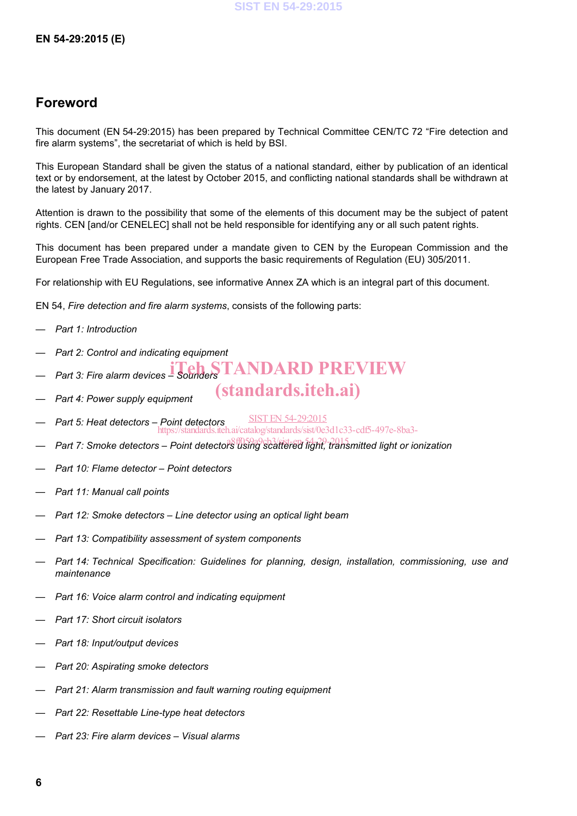# **Foreword**

This document (EN 54-29:2015) has been prepared by Technical Committee CEN/TC 72 "Fire detection and fire alarm systems", the secretariat of which is held by BSI.

This European Standard shall be given the status of a national standard, either by publication of an identical text or by endorsement, at the latest by October 2015, and conflicting national standards shall be withdrawn at the latest by January 2017.

Attention is drawn to the possibility that some of the elements of this document may be the subject of patent rights. CEN [and/or CENELEC] shall not be held responsible for identifying any or all such patent rights.

This document has been prepared under a mandate given to CEN by the European Commission and the European Free Trade Association, and supports the basic requirements of Regulation (EU) 305/2011.

(standards.iteh.ai)

For relationship with EU Regulations, see informative Annex ZA which is an integral part of this document.

EN 54, *Fire detection and fire alarm systems*, consists of the following parts:

- *Part 1: Introduction*
- *Part 2: Control and indicating equipment*
- $-$  *Part 3: Fire alarm devices Sounders* TANDARD PREVIEW
- *Part 4: Power supply equipment*
- *Part 5: Heat detectors – Point detectors* SIST EN 54-29:2015 https://standards.iteh.ai/catalog/standards/sist/0e3d1c33-cdf5-497e-8ba3-
- Part 7: Smoke detectors Point detector<sup>g f</sup>using scattered light, transmitted light or ionization
- *Part 10: Flame detector – Point detectors*
- *Part 11: Manual call points*
- *Part 12: Smoke detectors – Line detector using an optical light beam*
- *Part 13: Compatibility assessment of system components*
- *Part 14: Technical Specification: Guidelines for planning, design, installation, commissioning, use and maintenance*
- *Part 16: Voice alarm control and indicating equipment*
- *Part 17: Short circuit isolators*
- *Part 18: Input/output devices*
- *Part 20: Aspirating smoke detectors*
- *Part 21: Alarm transmission and fault warning routing equipment*
- *Part 22: Resettable Line-type heat detectors*
- *Part 23: Fire alarm devices – Visual alarms*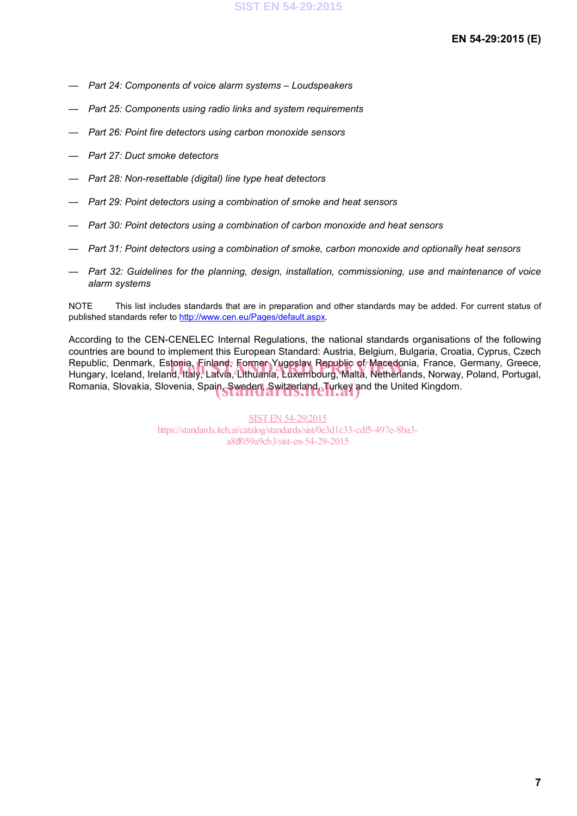- *Part 24: Components of voice alarm systems – Loudspeakers*
- *Part 25: Components using radio links and system requirements*
- *Part 26: Point fire detectors using carbon monoxide sensors*
- *Part 27: Duct smoke detectors*
- *Part 28: Non-resettable (digital) line type heat detectors*
- *Part 29: Point detectors using a combination of smoke and heat sensors*
- *Part 30: Point detectors using a combination of carbon monoxide and heat sensors*
- *Part 31: Point detectors using a combination of smoke, carbon monoxide and optionally heat sensors*
- *Part 32: Guidelines for the planning, design, installation, commissioning, use and maintenance of voice alarm systems*

NOTE This list includes standards that are in preparation and other standards may be added. For current status of published standards refer to http://www.cen.eu/Pages/default.aspx.

According to the CEN-CENELEC Internal Regulations, the national standards organisations of the following countries are bound to implement this European Standard: Austria, Belgium, Bulgaria, Croatia, Cyprus, Czech Republic, Denmark, Estonia, Finland, Former Yugoslav Republic of Macedonia, France, Germany, Greece, Republic, Denmark, Estonia, Einland, Former Yugoslay Republic of Macedonia, France, Germany, Greece,<br>Hungary, Iceland, Ireland, Italy, Latvia, Lithuania, Luxembourg, Malta, Netherlands, Norway, Poland, Portugal, Romania, Slovakia, Slovenia, Spain, Sweden, Switzerland, Turkey and the United Kingdom.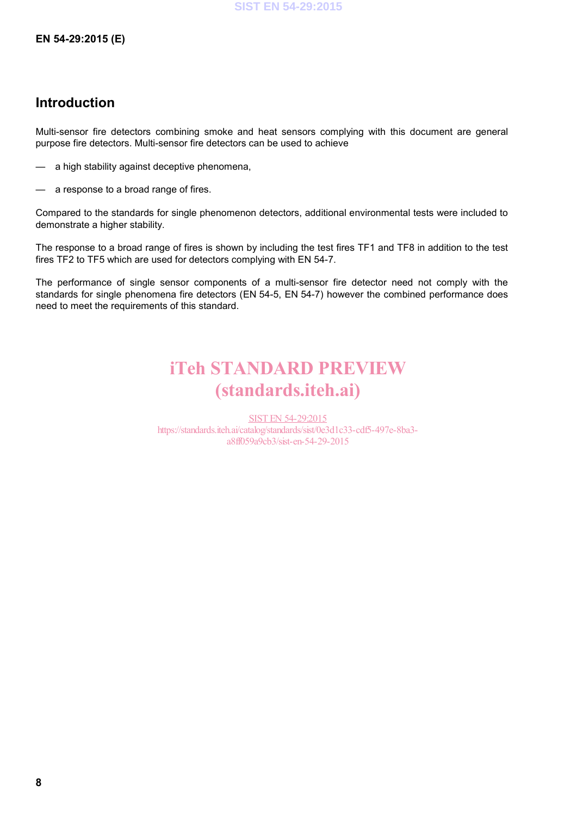# **Introduction**

Multi-sensor fire detectors combining smoke and heat sensors complying with this document are general purpose fire detectors. Multi-sensor fire detectors can be used to achieve

- a high stability against deceptive phenomena,
- a response to a broad range of fires.

Compared to the standards for single phenomenon detectors, additional environmental tests were included to demonstrate a higher stability.

The response to a broad range of fires is shown by including the test fires TF1 and TF8 in addition to the test fires TF2 to TF5 which are used for detectors complying with EN 54-7.

The performance of single sensor components of a multi-sensor fire detector need not comply with the standards for single phenomena fire detectors (EN 54-5, EN 54-7) however the combined performance does need to meet the requirements of this standard.

# iTeh STANDARD PREVIEW (standards.iteh.ai)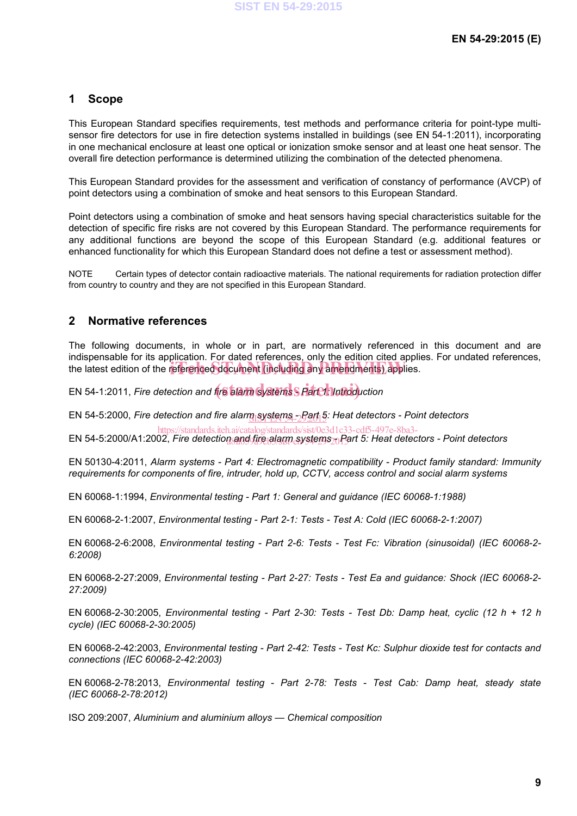# **1 Scope**

This European Standard specifies requirements, test methods and performance criteria for point-type multisensor fire detectors for use in fire detection systems installed in buildings (see EN 54-1:2011), incorporating in one mechanical enclosure at least one optical or ionization smoke sensor and at least one heat sensor. The overall fire detection performance is determined utilizing the combination of the detected phenomena.

This European Standard provides for the assessment and verification of constancy of performance (AVCP) of point detectors using a combination of smoke and heat sensors to this European Standard.

Point detectors using a combination of smoke and heat sensors having special characteristics suitable for the detection of specific fire risks are not covered by this European Standard. The performance requirements for any additional functions are beyond the scope of this European Standard (e.g. additional features or enhanced functionality for which this European Standard does not define a test or assessment method).

NOTE Certain types of detector contain radioactive materials. The national requirements for radiation protection differ from country to country and they are not specified in this European Standard.

# **2 Normative references**

The following documents, in whole or in part, are normatively referenced in this document and are indispensable for its application. For dated references, only the edition cited applies. For undated references, the latest edition of the referenced document (including any amendments) applies.

EN 54-1:2011, *Fire detection and fire alarm* systems S Parch *Introduction* 

EN 54-5:2000, *Fire detection and fire alarmssystems -\_69t*f<sub>1</sub>5: Heat detectors - Point detectors

EN 54-5:2000/A1:2002, *Fire detection and fire alarm systems <sub>20</sub> Part 5: Heat detectors - Point detectors* https://standards.iteh.ai/catalog/standards/sist/0e3d1c33-cdf5-497e-8ba3-

EN 50130-4:2011, *Alarm systems - Part 4: Electromagnetic compatibility - Product family standard: Immunity requirements for components of fire, intruder, hold up, CCTV, access control and social alarm systems*

EN 60068-1:1994, *Environmental testing - Part 1: General and guidance (IEC 60068-1:1988)*

EN 60068-2-1:2007, *Environmental testing - Part 2-1: Tests - Test A: Cold (IEC 60068-2-1:2007)*

EN 60068-2-6:2008, *Environmental testing - Part 2-6: Tests - Test Fc: Vibration (sinusoidal) (IEC 60068-2- 6:2008)*

EN 60068-2-27:2009, *Environmental testing - Part 2-27: Tests - Test Ea and guidance: Shock (IEC 60068-2- 27:2009)*

EN 60068-2-30:2005, *Environmental testing - Part 2-30: Tests - Test Db: Damp heat, cyclic (12 h + 12 h cycle) (IEC 60068-2-30:2005)*

EN 60068-2-42:2003, *Environmental testing - Part 2-42: Tests - Test Kc: Sulphur dioxide test for contacts and connections (IEC 60068-2-42:2003)*

EN 60068-2-78:2013, *Environmental testing - Part 2-78: Tests - Test Cab: Damp heat, steady state (IEC 60068-2-78:2012)*

ISO 209:2007, *Aluminium and aluminium alloys — Chemical composition*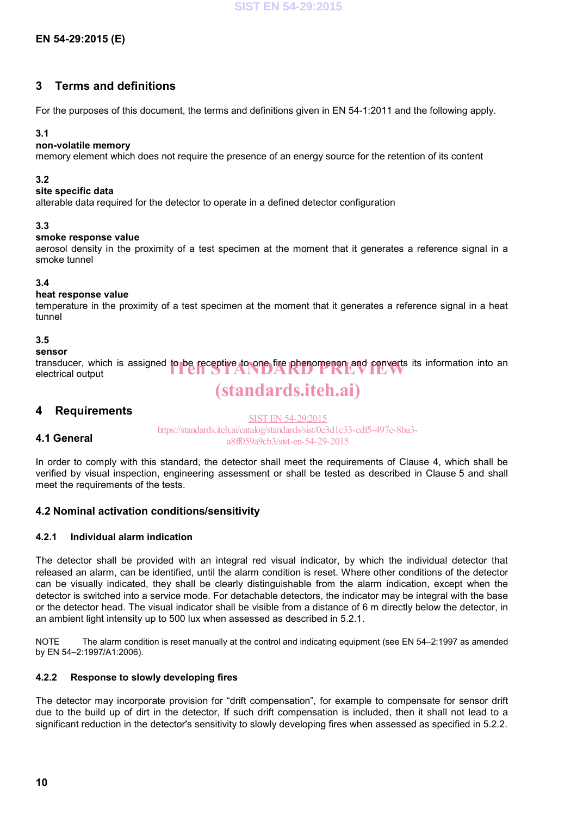# **3 Terms and definitions**

For the purposes of this document, the terms and definitions given in EN 54-1:2011 and the following apply.

## **3.1**

## **non-volatile memory**

memory element which does not require the presence of an energy source for the retention of its content

## **3.2**

#### **site specific data**

alterable data required for the detector to operate in a defined detector configuration

## **3.3**

#### **smoke response value**

aerosol density in the proximity of a test specimen at the moment that it generates a reference signal in a smoke tunnel

# **3.4**

## **heat response value**

temperature in the proximity of a test specimen at the moment that it generates a reference signal in a heat tunnel

# **3.5**

## **sensor**

transducer, which is assigned to be receptive to one fire phenomenon and converts its information into an electrical output electrical output

# (standards.iteh.ai)

# **4 Requirements**

**4.1 General**

SIST EN 54-29:2015 https://standards.iteh.ai/catalog/standards/sist/0e3d1c33-cdf5-497e-8ba3 a8ff059a9cb3/sist-en-54-29-2015

# In order to comply with this standard, the detector shall meet the requirements of Clause 4, which shall be verified by visual inspection, engineering assessment or shall be tested as described in Clause 5 and shall meet the requirements of the tests.

# **4.2 Nominal activation conditions/sensitivity**

# **4.2.1 Individual alarm indication**

The detector shall be provided with an integral red visual indicator, by which the individual detector that released an alarm, can be identified, until the alarm condition is reset. Where other conditions of the detector can be visually indicated, they shall be clearly distinguishable from the alarm indication, except when the detector is switched into a service mode. For detachable detectors, the indicator may be integral with the base or the detector head. The visual indicator shall be visible from a distance of 6 m directly below the detector, in an ambient light intensity up to 500 lux when assessed as described in 5.2.1.

NOTE The alarm condition is reset manually at the control and indicating equipment (see EN 54–2:1997 as amended by EN 54–2:1997/A1:2006).

# **4.2.2 Response to slowly developing fires**

The detector may incorporate provision for "drift compensation", for example to compensate for sensor drift due to the build up of dirt in the detector, If such drift compensation is included, then it shall not lead to a significant reduction in the detector's sensitivity to slowly developing fires when assessed as specified in 5.2.2.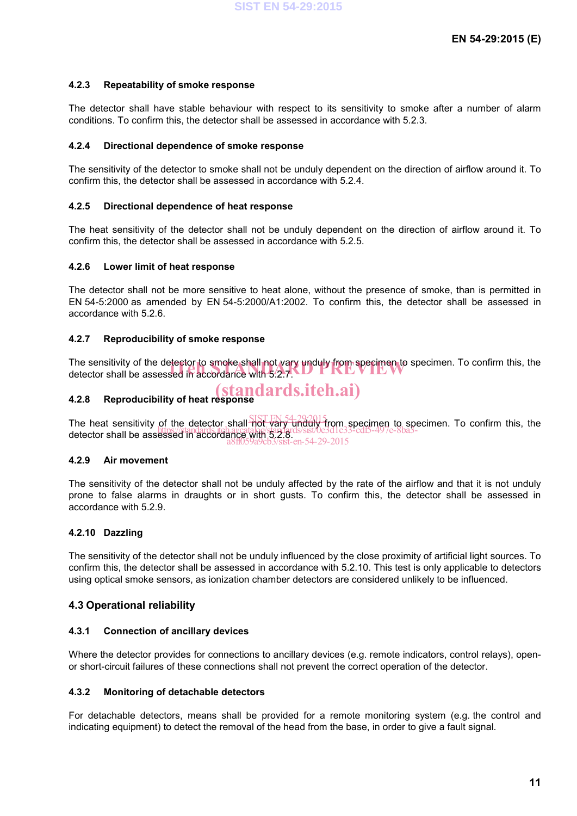## **4.2.3 Repeatability of smoke response**

The detector shall have stable behaviour with respect to its sensitivity to smoke after a number of alarm conditions. To confirm this, the detector shall be assessed in accordance with 5.2.3.

#### **4.2.4 Directional dependence of smoke response**

The sensitivity of the detector to smoke shall not be unduly dependent on the direction of airflow around it. To confirm this, the detector shall be assessed in accordance with 5.2.4.

#### **4.2.5 Directional dependence of heat response**

The heat sensitivity of the detector shall not be unduly dependent on the direction of airflow around it. To confirm this, the detector shall be assessed in accordance with 5.2.5.

#### **4.2.6 Lower limit of heat response**

The detector shall not be more sensitive to heat alone, without the presence of smoke, than is permitted in EN 54-5:2000 as amended by EN 54-5:2000/A1:2002. To confirm this, the detector shall be assessed in accordance with 5.2.6.

#### **4.2.7 Reproducibility of smoke response**

The sensitivity of the detector to smoke shall not vary unduly from specimen to specimen. To confirm this, the<br>detector shall be assessed in accordance with 5:2.7. detector shall be assessed in accordance with 5.2.7.

#### **4.2.8 Reproducibility of heat response** (standards.iteh.ai)

The heat sensitivity of the detector shall not vary unduly from specimen to specimen. To confirm this, the detector shall be assessed in accordance with 5.2.8.<br>detector shall be assessed in accordance with 5.2.8.  $en-54-29-2015$ 

#### **4.2.9 Air movement**

The sensitivity of the detector shall not be unduly affected by the rate of the airflow and that it is not unduly prone to false alarms in draughts or in short gusts. To confirm this, the detector shall be assessed in accordance with 5.2.9.

# **4.2.10 Dazzling**

The sensitivity of the detector shall not be unduly influenced by the close proximity of artificial light sources. To confirm this, the detector shall be assessed in accordance with 5.2.10. This test is only applicable to detectors using optical smoke sensors, as ionization chamber detectors are considered unlikely to be influenced.

# **4.3 Operational reliability**

#### **4.3.1 Connection of ancillary devices**

Where the detector provides for connections to ancillary devices (e.g. remote indicators, control relays), openor short-circuit failures of these connections shall not prevent the correct operation of the detector.

#### **4.3.2 Monitoring of detachable detectors**

For detachable detectors, means shall be provided for a remote monitoring system (e.g. the control and indicating equipment) to detect the removal of the head from the base, in order to give a fault signal.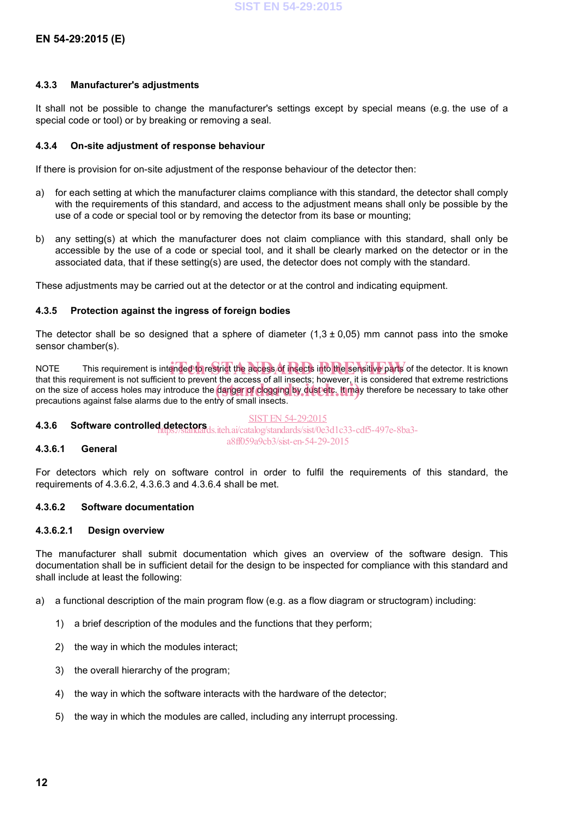## **4.3.3 Manufacturer's adjustments**

It shall not be possible to change the manufacturer's settings except by special means (e.g. the use of a special code or tool) or by breaking or removing a seal.

#### **4.3.4 On-site adjustment of response behaviour**

If there is provision for on-site adjustment of the response behaviour of the detector then:

- a) for each setting at which the manufacturer claims compliance with this standard, the detector shall comply with the requirements of this standard, and access to the adjustment means shall only be possible by the use of a code or special tool or by removing the detector from its base or mounting;
- b) any setting(s) at which the manufacturer does not claim compliance with this standard, shall only be accessible by the use of a code or special tool, and it shall be clearly marked on the detector or in the associated data, that if these setting(s) are used, the detector does not comply with the standard.

These adjustments may be carried out at the detector or at the control and indicating equipment.

## **4.3.5 Protection against the ingress of foreign bodies**

The detector shall be so designed that a sphere of diameter  $(1.3 \pm 0.05)$  mm cannot pass into the smoke sensor chamber(s).

NOTE This requirement is intended to restrict the access of insects into the sensitive parts of the detector. It is known<br>that this requirement is not sufficient to provent the access of all insects; however, it is conside that this requirement is not sufficient to prevent the access of all insects; however, it is considered that extreme restrictions on the size of access holes may introduce the danger of clogging by dust etc. It may therefore be necessary to take other precentions against false alarms due to the entity of small insects. The process of the necessary to precautions against false alarms due to the entry of small insects.

# SIST EN 54-29:2015

**4.3.6 Software controlled detectors**<br>
https://standards/standards/sist/0e3d1c33-cdf5-497e-8ba3a8ff059a9cb3/sist-en-54-29-2015

#### **4.3.6.1 General**

For detectors which rely on software control in order to fulfil the requirements of this standard, the requirements of 4.3.6.2, 4.3.6.3 and 4.3.6.4 shall be met.

# **4.3.6.2 Software documentation**

#### **4.3.6.2.1 Design overview**

The manufacturer shall submit documentation which gives an overview of the software design. This documentation shall be in sufficient detail for the design to be inspected for compliance with this standard and shall include at least the following:

- a) a functional description of the main program flow (e.g. as a flow diagram or structogram) including:
	- 1) a brief description of the modules and the functions that they perform;
	- 2) the way in which the modules interact;
	- 3) the overall hierarchy of the program;
	- 4) the way in which the software interacts with the hardware of the detector;
	- 5) the way in which the modules are called, including any interrupt processing.